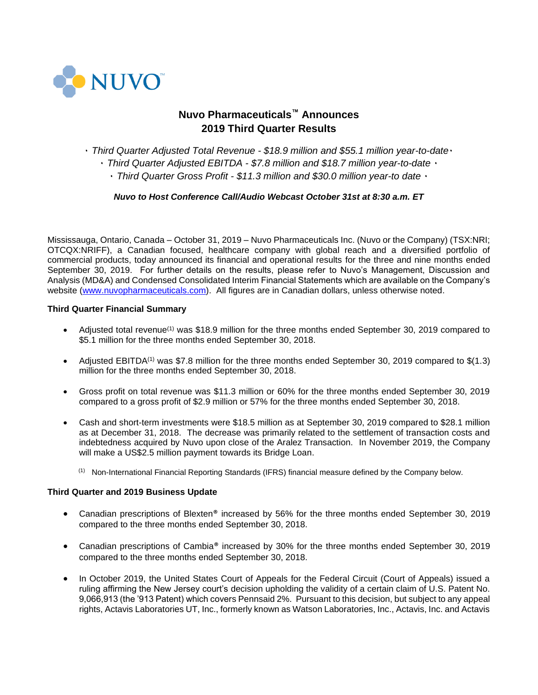

# **Nuvo Pharmaceuticals™ Announces 2019 Third Quarter Results**

٠ *Third Quarter Adjusted Total Revenue - \$18.9 million and \$55.1 million year-to-date*٠

٠ *Third Quarter Adjusted EBITDA - \$7.8 million and \$18.7 million year-to-date* ٠

٠ *Third Quarter Gross Profit - \$11.3 million and \$30.0 million year-to date* ٠

*Nuvo to Host Conference Call/Audio Webcast October 31st at 8:30 a.m. ET*

Mississauga, Ontario, Canada – October 31, 2019 – Nuvo Pharmaceuticals Inc. (Nuvo or the Company) (TSX:NRI; OTCQX:NRIFF), a Canadian focused, healthcare company with global reach and a diversified portfolio of commercial products, today announced its financial and operational results for the three and nine months ended September 30, 2019. For further details on the results, please refer to Nuvo's Management, Discussion and Analysis (MD&A) and Condensed Consolidated Interim Financial Statements which are available on the Company's website [\(www.nuvopharmaceuticals.com\)](http://www.nuvopharmaceuticals.com/). All figures are in Canadian dollars, unless otherwise noted.

# **Third Quarter Financial Summary**

- Adjusted total revenue<sup>(1)</sup> was \$18.9 million for the three months ended September 30, 2019 compared to \$5.1 million for the three months ended September 30, 2018.
- Adjusted EBITDA<sup>(1)</sup> was \$7.8 million for the three months ended September 30, 2019 compared to  $$(1.3)$ million for the three months ended September 30, 2018.
- Gross profit on total revenue was \$11.3 million or 60% for the three months ended September 30, 2019 compared to a gross profit of \$2.9 million or 57% for the three months ended September 30, 2018.
- Cash and short-term investments were \$18.5 million as at September 30, 2019 compared to \$28.1 million as at December 31, 2018. The decrease was primarily related to the settlement of transaction costs and indebtedness acquired by Nuvo upon close of the Aralez Transaction. In November 2019, the Company will make a US\$2.5 million payment towards its Bridge Loan.
	- <sup>(1)</sup> Non-International Financial Reporting Standards (IFRS) financial measure defined by the Company below.

#### **Third Quarter and 2019 Business Update**

- Canadian prescriptions of Blexten<sup>®</sup> increased by 56% for the three months ended September 30, 2019 compared to the three months ended September 30, 2018.
- Canadian prescriptions of Cambia® increased by 30% for the three months ended September 30, 2019 compared to the three months ended September 30, 2018.
- In October 2019, the United States Court of Appeals for the Federal Circuit (Court of Appeals) issued a ruling affirming the New Jersey court's decision upholding the validity of a certain claim of U.S. Patent No. 9,066,913 (the '913 Patent) which covers Pennsaid 2%. Pursuant to this decision, but subject to any appeal rights, Actavis Laboratories UT, Inc., formerly known as Watson Laboratories, Inc., Actavis, Inc. and Actavis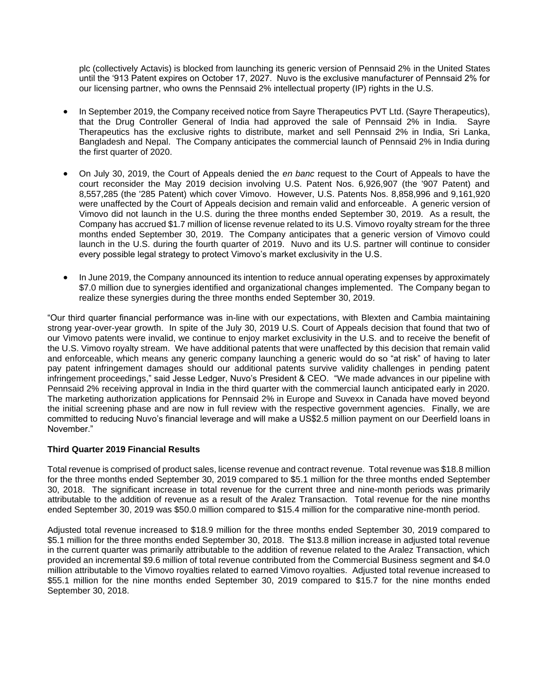plc (collectively Actavis) is blocked from launching its generic version of Pennsaid 2% in the United States until the '913 Patent expires on October 17, 2027. Nuvo is the exclusive manufacturer of Pennsaid 2% for our licensing partner, who owns the Pennsaid 2% intellectual property (IP) rights in the U.S.

- In September 2019, the Company received notice from Sayre Therapeutics PVT Ltd. (Sayre Therapeutics), that the Drug Controller General of India had approved the sale of Pennsaid 2% in India. Sayre Therapeutics has the exclusive rights to distribute, market and sell Pennsaid 2% in India, Sri Lanka, Bangladesh and Nepal. The Company anticipates the commercial launch of Pennsaid 2% in India during the first quarter of 2020.
- On July 30, 2019, the Court of Appeals denied the *en banc* request to the Court of Appeals to have the court reconsider the May 2019 decision involving U.S. Patent Nos. 6,926,907 (the '907 Patent) and 8,557,285 (the '285 Patent) which cover Vimovo. However, U.S. Patents Nos. 8,858,996 and 9,161,920 were unaffected by the Court of Appeals decision and remain valid and enforceable. A generic version of Vimovo did not launch in the U.S. during the three months ended September 30, 2019. As a result, the Company has accrued \$1.7 million of license revenue related to its U.S. Vimovo royalty stream for the three months ended September 30, 2019. The Company anticipates that a generic version of Vimovo could launch in the U.S. during the fourth quarter of 2019. Nuvo and its U.S. partner will continue to consider every possible legal strategy to protect Vimovo's market exclusivity in the U.S.
- In June 2019, the Company announced its intention to reduce annual operating expenses by approximately \$7.0 million due to synergies identified and organizational changes implemented. The Company began to realize these synergies during the three months ended September 30, 2019.

"Our third quarter financial performance was in-line with our expectations, with Blexten and Cambia maintaining strong year-over-year growth. In spite of the July 30, 2019 U.S. Court of Appeals decision that found that two of our Vimovo patents were invalid, we continue to enjoy market exclusivity in the U.S. and to receive the benefit of the U.S. Vimovo royalty stream. We have additional patents that were unaffected by this decision that remain valid and enforceable, which means any generic company launching a generic would do so "at risk" of having to later pay patent infringement damages should our additional patents survive validity challenges in pending patent infringement proceedings," said Jesse Ledger, Nuvo's President & CEO. "We made advances in our pipeline with Pennsaid 2% receiving approval in India in the third quarter with the commercial launch anticipated early in 2020. The marketing authorization applications for Pennsaid 2% in Europe and Suvexx in Canada have moved beyond the initial screening phase and are now in full review with the respective government agencies. Finally, we are committed to reducing Nuvo's financial leverage and will make a US\$2.5 million payment on our Deerfield loans in November."

# **Third Quarter 2019 Financial Results**

Total revenue is comprised of product sales, license revenue and contract revenue. Total revenue was \$18.8 million for the three months ended September 30, 2019 compared to \$5.1 million for the three months ended September 30, 2018. The significant increase in total revenue for the current three and nine-month periods was primarily attributable to the addition of revenue as a result of the Aralez Transaction. Total revenue for the nine months ended September 30, 2019 was \$50.0 million compared to \$15.4 million for the comparative nine-month period.

Adjusted total revenue increased to \$18.9 million for the three months ended September 30, 2019 compared to \$5.1 million for the three months ended September 30, 2018. The \$13.8 million increase in adjusted total revenue in the current quarter was primarily attributable to the addition of revenue related to the Aralez Transaction, which provided an incremental \$9.6 million of total revenue contributed from the Commercial Business segment and \$4.0 million attributable to the Vimovo royalties related to earned Vimovo royalties. Adjusted total revenue increased to \$55.1 million for the nine months ended September 30, 2019 compared to \$15.7 for the nine months ended September 30, 2018.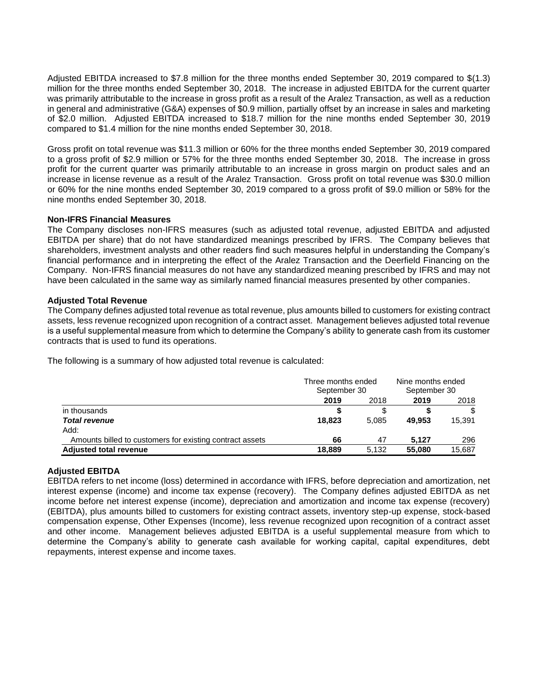Adjusted EBITDA increased to \$7.8 million for the three months ended September 30, 2019 compared to \$(1.3) million for the three months ended September 30, 2018. The increase in adjusted EBITDA for the current quarter was primarily attributable to the increase in gross profit as a result of the Aralez Transaction, as well as a reduction in general and administrative (G&A) expenses of \$0.9 million, partially offset by an increase in sales and marketing of \$2.0 million. Adjusted EBITDA increased to \$18.7 million for the nine months ended September 30, 2019 compared to \$1.4 million for the nine months ended September 30, 2018.

Gross profit on total revenue was \$11.3 million or 60% for the three months ended September 30, 2019 compared to a gross profit of \$2.9 million or 57% for the three months ended September 30, 2018. The increase in gross profit for the current quarter was primarily attributable to an increase in gross margin on product sales and an increase in license revenue as a result of the Aralez Transaction. Gross profit on total revenue was \$30.0 million or 60% for the nine months ended September 30, 2019 compared to a gross profit of \$9.0 million or 58% for the nine months ended September 30, 2018.

#### **Non-IFRS Financial Measures**

The Company discloses non-IFRS measures (such as adjusted total revenue, adjusted EBITDA and adjusted EBITDA per share) that do not have standardized meanings prescribed by IFRS. The Company believes that shareholders, investment analysts and other readers find such measures helpful in understanding the Company's financial performance and in interpreting the effect of the Aralez Transaction and the Deerfield Financing on the Company. Non-IFRS financial measures do not have any standardized meaning prescribed by IFRS and may not have been calculated in the same way as similarly named financial measures presented by other companies.

### **Adjusted Total Revenue**

The Company defines adjusted total revenue as total revenue, plus amounts billed to customers for existing contract assets, less revenue recognized upon recognition of a contract asset. Management believes adjusted total revenue is a useful supplemental measure from which to determine the Company's ability to generate cash from its customer contracts that is used to fund its operations.

The following is a summary of how adjusted total revenue is calculated:

|                                                          | Three months ended<br>September 30 |       | Nine months ended<br>September 30 |        |
|----------------------------------------------------------|------------------------------------|-------|-----------------------------------|--------|
|                                                          | 2019                               | 2018  | 2019                              | 2018   |
| in thousands                                             |                                    |       |                                   | \$     |
| <b>Total revenue</b>                                     | 18,823                             | 5.085 | 49.953                            | 15.391 |
| Add:                                                     |                                    |       |                                   |        |
| Amounts billed to customers for existing contract assets | 66                                 | 47    | 5.127                             | 296    |
| <b>Adjusted total revenue</b>                            | 18.889                             | 5,132 | 55,080                            | 15,687 |

# **Adjusted EBITDA**

EBITDA refers to net income (loss) determined in accordance with IFRS, before depreciation and amortization, net interest expense (income) and income tax expense (recovery). The Company defines adjusted EBITDA as net income before net interest expense (income), depreciation and amortization and income tax expense (recovery) (EBITDA), plus amounts billed to customers for existing contract assets, inventory step-up expense, stock-based compensation expense, Other Expenses (Income), less revenue recognized upon recognition of a contract asset and other income. Management believes adjusted EBITDA is a useful supplemental measure from which to determine the Company's ability to generate cash available for working capital, capital expenditures, debt repayments, interest expense and income taxes.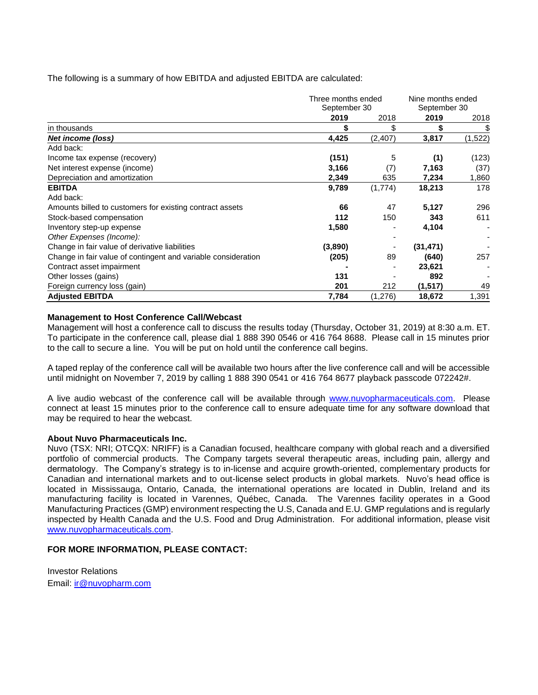The following is a summary of how EBITDA and adjusted EBITDA are calculated:

|                                                               | Three months ended<br>September 30 |         | Nine months ended<br>September 30 |         |
|---------------------------------------------------------------|------------------------------------|---------|-----------------------------------|---------|
|                                                               |                                    |         |                                   |         |
|                                                               | 2019                               | 2018    | 2019                              | 2018    |
| in thousands                                                  | \$                                 | \$      | \$                                | \$      |
| Net income (loss)                                             | 4,425                              | (2,407) | 3,817                             | (1,522) |
| Add back:                                                     |                                    |         |                                   |         |
| Income tax expense (recovery)                                 | (151)                              | 5       | (1)                               | (123)   |
| Net interest expense (income)                                 | 3,166                              | (7)     | 7,163                             | (37)    |
| Depreciation and amortization                                 | 2,349                              | 635     | 7,234                             | 1,860   |
| <b>EBITDA</b>                                                 | 9,789                              | (1,774) | 18,213                            | 178     |
| Add back:                                                     |                                    |         |                                   |         |
| Amounts billed to customers for existing contract assets      | 66                                 | 47      | 5,127                             | 296     |
| Stock-based compensation                                      | 112                                | 150     | 343                               | 611     |
| Inventory step-up expense                                     | 1,580                              |         | 4,104                             |         |
| Other Expenses (Income):                                      |                                    |         |                                   |         |
| Change in fair value of derivative liabilities                | (3,890)                            |         | (31, 471)                         |         |
| Change in fair value of contingent and variable consideration | (205)                              | 89      | (640)                             | 257     |
| Contract asset impairment                                     |                                    |         | 23,621                            |         |
| Other losses (gains)                                          | 131                                |         | 892                               |         |
| Foreign currency loss (gain)                                  | 201                                | 212     | (1, 517)                          | 49      |
| <b>Adjusted EBITDA</b>                                        | 7,784                              | (1,276) | 18,672                            | 1,391   |

#### **Management to Host Conference Call/Webcast**

Management will host a conference call to discuss the results today (Thursday, October 31, 2019) at 8:30 a.m. ET. To participate in the conference call, please dial 1 888 390 0546 or 416 764 8688. Please call in 15 minutes prior to the call to secure a line. You will be put on hold until the conference call begins.

A taped replay of the conference call will be available two hours after the live conference call and will be accessible until midnight on November 7, 2019 by calling 1 888 390 0541 or 416 764 8677 playback passcode 072242#.

A live audio webcast of the conference call will be available through [www.nuvopharmaceuticals.com.](http://www.nuvopharmaceuticals.com/) Please connect at least 15 minutes prior to the conference call to ensure adequate time for any software download that may be required to hear the webcast.

#### **About Nuvo Pharmaceuticals Inc.**

Nuvo (TSX: NRI; OTCQX: NRIFF) is a Canadian focused, healthcare company with global reach and a diversified portfolio of commercial products. The Company targets several therapeutic areas, including pain, allergy and dermatology. The Company's strategy is to in-license and acquire growth-oriented, complementary products for Canadian and international markets and to out-license select products in global markets. Nuvo's head office is located in Mississauga, Ontario, Canada, the international operations are located in Dublin, Ireland and its manufacturing facility is located in Varennes, Québec, Canada. The Varennes facility operates in a Good Manufacturing Practices (GMP) environment respecting the U.S, Canada and E.U. GMP regulations and is regularly inspected by Health Canada and the U.S. Food and Drug Administration. For additional information, please visit [www.nuvopharmaceuticals.com.](http://www.nuvopharmaceuticals.com/)

# **FOR MORE INFORMATION, PLEASE CONTACT:**

Investor Relations Email: [ir@nuvopharm.com](mailto:ir@nuvopharm.com)